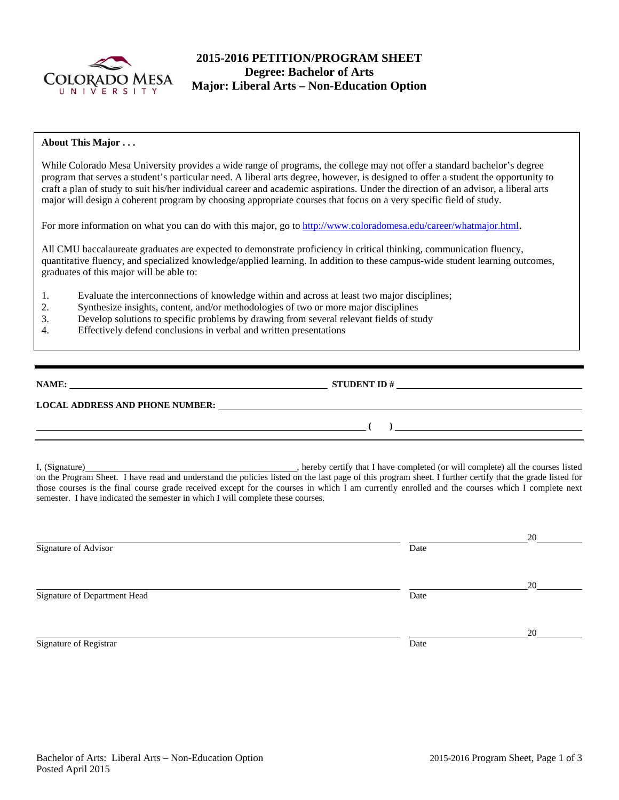

# **2015-2016 PETITION/PROGRAM SHEET Degree: Bachelor of Arts Major: Liberal Arts – Non-Education Option**

# **About This Major . . .**

While Colorado Mesa University provides a wide range of programs, the college may not offer a standard bachelor's degree program that serves a student's particular need. A liberal arts degree, however, is designed to offer a student the opportunity to craft a plan of study to suit his/her individual career and academic aspirations. Under the direction of an advisor, a liberal arts major will design a coherent program by choosing appropriate courses that focus on a very specific field of study.

For more information on what you can do with this major, go to http://www.coloradomesa.edu/career/whatmajor.html.

All CMU baccalaureate graduates are expected to demonstrate proficiency in critical thinking, communication fluency, quantitative fluency, and specialized knowledge/applied learning. In addition to these campus-wide student learning outcomes, graduates of this major will be able to:

- 1. Evaluate the interconnections of knowledge within and across at least two major disciplines;
- 2. Synthesize insights, content, and/or methodologies of two or more major disciplines
- 3. Develop solutions to specific problems by drawing from several relevant fields of study
- 4. Effectively defend conclusions in verbal and written presentations

| <b>NAME:</b> |  |
|--------------|--|
|              |  |

**NAME:** STUDENT ID #

 **(** ) <u> **(** ) **b** ( ) **i** ( ) **i** ( ) **i** ( ) **i** ( ) **i** ( ) **i** ( ) **i** ( ) **i** ( ) **i** ( ) **i** ( ) **i** ( ) **i** ( ) **i** ( ) **i** ( ) **i** ( ) **i** ( ) **i** ( ) **i** ( ) **i** ( ) **i** ( ) **i** ( ) **i** ( ) **i** ( ) **i** ( ) **i** ( )</u>

# **LOCAL ADDRESS AND PHONE NUMBER:**

I, (Signature) **Source 2008** (Signature) **, hereby certify that I have completed** (or will complete) all the courses listed on the Program Sheet. I have read and understand the policies listed on the last page of this program sheet. I further certify that the grade listed for those courses is the final course grade received except for the courses in which I am currently enrolled and the courses which I complete next semester. I have indicated the semester in which I will complete these courses.

| 20 |
|----|
|    |
|    |
| 20 |
|    |
|    |
| 20 |
|    |
|    |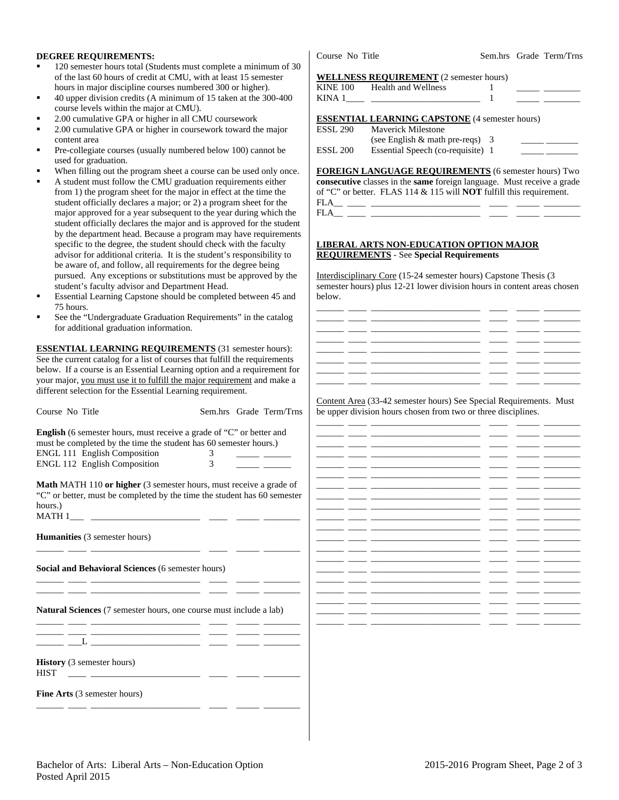## **DEGREE REQUIREMENTS:**

- 120 semester hours total (Students must complete a minimum of 30 of the last 60 hours of credit at CMU, with at least 15 semester hours in major discipline courses numbered 300 or higher).
- 40 upper division credits (A minimum of 15 taken at the 300-400 course levels within the major at CMU).
- 2.00 cumulative GPA or higher in all CMU coursework
- 2.00 cumulative GPA or higher in coursework toward the major content area
- Pre-collegiate courses (usually numbered below 100) cannot be used for graduation.
- When filling out the program sheet a course can be used only once.
- A student must follow the CMU graduation requirements either from 1) the program sheet for the major in effect at the time the student officially declares a major; or 2) a program sheet for the major approved for a year subsequent to the year during which the student officially declares the major and is approved for the student by the department head. Because a program may have requirements specific to the degree, the student should check with the faculty advisor for additional criteria. It is the student's responsibility to be aware of, and follow, all requirements for the degree being pursued. Any exceptions or substitutions must be approved by the student's faculty advisor and Department Head.
- Essential Learning Capstone should be completed between 45 and 75 hours.
- See the "Undergraduate Graduation Requirements" in the catalog for additional graduation information.

**ESSENTIAL LEARNING REQUIREMENTS** (31 semester hours): See the current catalog for a list of courses that fulfill the requirements below. If a course is an Essential Learning option and a requirement for your major, you must use it to fulfill the major requirement and make a different selection for the Essential Learning requirement.

| Course No Title                                                                                                                                                           |   | Sem.hrs Grade Term/Trns |
|---------------------------------------------------------------------------------------------------------------------------------------------------------------------------|---|-------------------------|
| English (6 semester hours, must receive a grade of "C" or better and<br>must be completed by the time the student has 60 semester hours.)                                 |   |                         |
| <b>ENGL 111 English Composition</b>                                                                                                                                       | 3 |                         |
| <b>ENGL 112 English Composition</b>                                                                                                                                       | 3 |                         |
| <b>Math MATH 110 or higher</b> (3 semester hours, must receive a grade of<br>"C" or better, must be completed by the time the student has 60 semester<br>hours.)          |   |                         |
| <b>Humanities</b> (3 semester hours)                                                                                                                                      |   |                         |
| <b>Social and Behavioral Sciences (6 semester hours)</b>                                                                                                                  |   |                         |
| Natural Sciences (7 semester hours, one course must include a lab)                                                                                                        |   |                         |
| <u> 1980 - Johann Harrison, margaret eta idazlea (</u>                                                                                                                    |   |                         |
| <b>History</b> (3 semester hours)<br><b>HIST</b><br><u>and the proposition of the contract of the contract of the contract of the contract of the contract of the con</u> |   |                         |
| <b>Fine Arts</b> (3 semester hours)                                                                                                                                       |   |                         |
|                                                                                                                                                                           |   |                         |

Course No Title Sem.hrs Grade Term/Trns

#### **WELLNESS REQUIREMENT** (2 semester hours)

| <b>KINE 100</b> | Health and Wellness                                   |  |  |
|-----------------|-------------------------------------------------------|--|--|
| KINA 1          |                                                       |  |  |
|                 |                                                       |  |  |
|                 | <b>ESSENTIAL LEARNING CAPSTONE (4 semester hours)</b> |  |  |
| ESSL 290        | Maverick Milestone                                    |  |  |
|                 | (see English $&$ math pre-reqs) 3                     |  |  |
| <b>ESSL 200</b> | Essential Speech (co-requisite) 1                     |  |  |

**FOREIGN LANGUAGE REQUIREMENTS** (6 semester hours) Two **consecutive** classes in the **same** foreign language. Must receive a grade of "C" or better. FLAS 114 & 115 will **NOT** fulfill this requirement. FLA\_\_ \_\_\_\_ \_\_\_\_\_\_\_\_\_\_\_\_\_\_\_\_\_\_\_\_\_\_\_\_ \_\_\_\_ \_\_\_\_\_ \_\_\_\_\_\_\_\_  $FLA$ <sub>\_\_\_</sub> \_\_

### **LIBERAL ARTS NON-EDUCATION OPTION MAJOR REQUIREMENTS** - See **Special Requirements**

Interdisciplinary Core (15-24 semester hours) Capstone Thesis (3 semester hours) plus 12-21 lower division hours in content areas chosen below.



Content Area (33-42 semester hours) See Special Requirements. Must be upper division hours chosen from two or three disciplines.